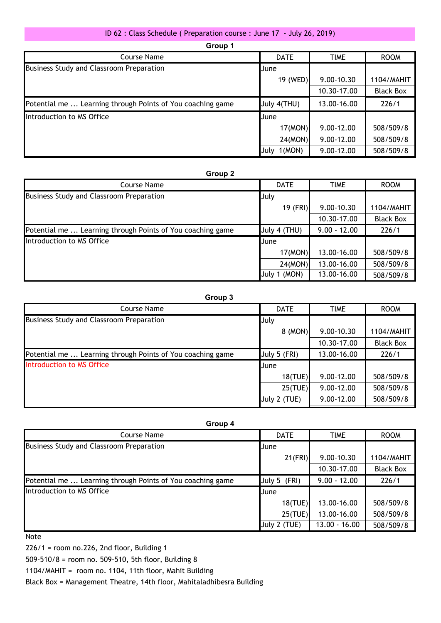## ID 62 : Class Schedule ( Preparation course : June 17 - July 26, 2019)

| Group 1                                                    |                 |             |                  |  |
|------------------------------------------------------------|-----------------|-------------|------------------|--|
| Course Name                                                | <b>DATE</b>     | <b>TIME</b> | <b>ROOM</b>      |  |
| Business Study and Classroom Preparation                   | <b>June</b>     |             |                  |  |
|                                                            | 19 (WED)        | 9.00-10.30  | 1104/MAHIT       |  |
|                                                            |                 | 10.30-17.00 | <b>Black Box</b> |  |
| Potential me  Learning through Points of You coaching game | July 4(THU)     | 13.00-16.00 | 226/1            |  |
| Introduction to MS Office                                  | <b>June</b>     |             |                  |  |
|                                                            | 17(MON)         | 9.00-12.00  | 508/509/8        |  |
|                                                            | 24(MON)         | 9.00-12.00  | 508/509/8        |  |
|                                                            | 1(MON)<br>IJulv | 9.00-12.00  | 508/509/8        |  |

## **Group 2**

| Course Name                                                | <b>DATE</b>   | <b>TIME</b>    | <b>ROOM</b>      |
|------------------------------------------------------------|---------------|----------------|------------------|
| Business Study and Classroom Preparation                   | July          |                |                  |
|                                                            | 19 (FRI)      | 9.00-10.30     | 1104/MAHIT       |
|                                                            |               | 10.30-17.00    | <b>Black Box</b> |
| Potential me  Learning through Points of You coaching game | July 4 (THU)  | $9.00 - 12.00$ | 226/1            |
| Introduction to MS Office                                  | June          |                |                  |
|                                                            | 17(MON)       | 13.00-16.00    | 508/509/8        |
|                                                            | 24(MON)       | 13.00-16.00    | 508/509/8        |
|                                                            | (MON)<br>July | 13.00-16.00    | 508/509/8        |

## **Group 3**

| Course Name                                                | <b>DATE</b>  | <b>TIME</b>    | <b>ROOM</b>      |
|------------------------------------------------------------|--------------|----------------|------------------|
| Business Study and Classroom Preparation                   | July         |                |                  |
|                                                            | 8 (MON)      | $9.00 - 10.30$ | 1104/MAHIT       |
|                                                            |              | 10.30-17.00    | <b>Black Box</b> |
| Potential me  Learning through Points of You coaching game | July 5 (FRI) | 13.00-16.00    | 226/1            |
| Introduction to MS Office                                  | <b>June</b>  |                |                  |
|                                                            | 18(TUE)      | 9.00-12.00     | 508/509/8        |
|                                                            | 25(TUE)      | 9.00-12.00     | 508/509/8        |
|                                                            | July 2 (TUE) | 9.00-12.00     | 508/509/8        |
|                                                            |              |                |                  |

| iroup |  |
|-------|--|
|-------|--|

| Course Name                                                | <b>DATE</b>  | TIME            | <b>ROOM</b>      |
|------------------------------------------------------------|--------------|-----------------|------------------|
| Business Study and Classroom Preparation                   | <b>J</b> une |                 |                  |
|                                                            | $21$ (FRI)   | $9.00 - 10.30$  | 1104/MAHIT       |
|                                                            |              | 10.30-17.00     | <b>Black Box</b> |
| Potential me  Learning through Points of You coaching game | July 5 (FRI) | $9.00 - 12.00$  | 226/1            |
| Introduction to MS Office                                  | June         |                 |                  |
|                                                            | 18(TUE)      | 13.00-16.00     | 508/509/8        |
|                                                            | 25(TUE)      | 13.00-16.00     | 508/509/8        |
|                                                            | July 2 (TUE) | $13.00 - 16.00$ | 508/509/8        |

Note

226/1 = room no.226, 2nd floor, Building 1

509-510/8 = room no. 509-510, 5th floor, Building 8

1104/MAHIT = room no. 1104, 11th floor, Mahit Building

Black Box = Management Theatre, 14th floor, Mahitaladhibesra Building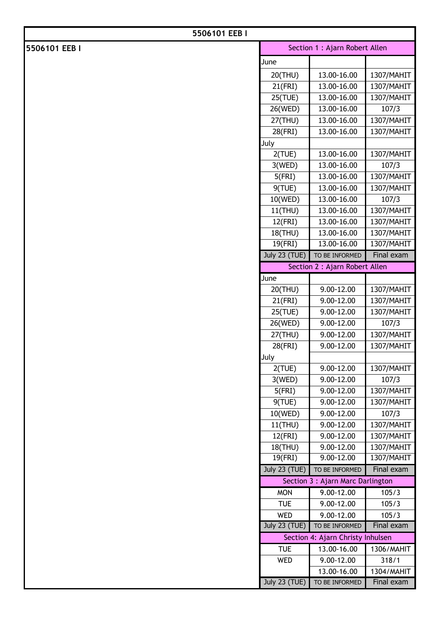| 5506101 EEB I |                                |                                   |                          |
|---------------|--------------------------------|-----------------------------------|--------------------------|
| 5506101 EEB I | Section 1 : Ajarn Robert Allen |                                   |                          |
|               | June                           |                                   |                          |
|               | 20(THU)                        | 13.00-16.00                       | 1307/MAHIT               |
|               | 21(FRI)                        | 13.00-16.00                       | 1307/MAHIT               |
|               | 25(TUE)                        | 13.00-16.00                       | 1307/MAHIT               |
|               | 26(WED)                        | 13.00-16.00                       | 107/3                    |
|               | 27(THU)                        | 13.00-16.00                       | 1307/MAHIT               |
|               | 28(FRI)                        | 13.00-16.00                       | 1307/MAHIT               |
|               | July                           |                                   |                          |
|               | 2(TUE)                         | 13.00-16.00                       | 1307/MAHIT               |
|               | 3(WED)                         | 13.00-16.00                       | 107/3                    |
|               | 5(FRI)                         | 13.00-16.00                       | 1307/MAHIT               |
|               | 9(TUE)                         | 13.00-16.00                       | 1307/MAHIT               |
|               | 10(WED)                        | 13.00-16.00                       | 107/3                    |
|               | 11(THU)                        | 13.00-16.00                       | 1307/MAHIT               |
|               | 12(FRI)                        | 13.00-16.00                       | 1307/MAHIT               |
|               | 18(THU)                        | 13.00-16.00                       | 1307/MAHIT               |
|               | 19(FRI)                        | 13.00-16.00                       | 1307/MAHIT               |
|               | <b>July 23 (TUE)</b>           | TO BE INFORMED                    | Final exam               |
|               |                                | Section 2 : Ajarn Robert Allen    |                          |
|               | June                           |                                   |                          |
|               | 20(THU)                        | $9.00 - 12.00$                    | 1307/MAHIT               |
|               | 21(FRI)                        | 9.00-12.00                        | 1307/MAHIT               |
|               | 25(TUE)                        | 9.00-12.00                        | 1307/MAHIT               |
|               | 26(WED)                        | 9.00-12.00                        | 107/3                    |
|               | 27(THU)                        | 9.00-12.00                        | 1307/MAHIT               |
|               | 28(FRI)                        | 9.00-12.00                        | 1307/MAHIT               |
|               | July                           |                                   |                          |
|               | 2(TUE)                         | 9.00-12.00                        | 1307/MAHIT               |
|               | 3(WED)                         | 9.00-12.00                        | 107/3                    |
|               | 5(FRI)                         | 9.00-12.00                        | 1307/MAHIT               |
|               | 9(TUE)                         | 9.00-12.00                        | 1307/MAHIT               |
|               | 10(WED)                        | 9.00-12.00                        | 107/3                    |
|               | 11(THU)                        | 9.00-12.00                        | 1307/MAHIT               |
|               | 12(FRI)                        | 9.00-12.00<br>9.00-12.00          | 1307/MAHIT               |
|               | 18(THU)<br>19(FRI)             | 9.00-12.00                        | 1307/MAHIT<br>1307/MAHIT |
|               | <b>July 23 (TUE)</b>           | TO BE INFORMED                    | Final exam               |
|               |                                | Section 3 : Ajarn Marc Darlington |                          |
|               | <b>MON</b>                     | 9.00-12.00                        | 105/3                    |
|               | <b>TUE</b>                     | 9.00-12.00                        | 105/3                    |
|               | <b>WED</b>                     | 9.00-12.00                        | 105/3                    |
|               | <b>July 23 (TUE)</b>           | TO BE INFORMED                    | Final exam               |
|               |                                | Section 4: Ajarn Christy Inhulsen |                          |
|               | <b>TUE</b>                     | 13.00-16.00                       | 1306/MAHIT               |
|               | WED                            | 9.00-12.00                        | 318/1                    |
|               |                                | 13.00-16.00                       | 1304/MAHIT               |
|               | <b>July 23 (TUE)</b>           | TO BE INFORMED                    | Final exam               |